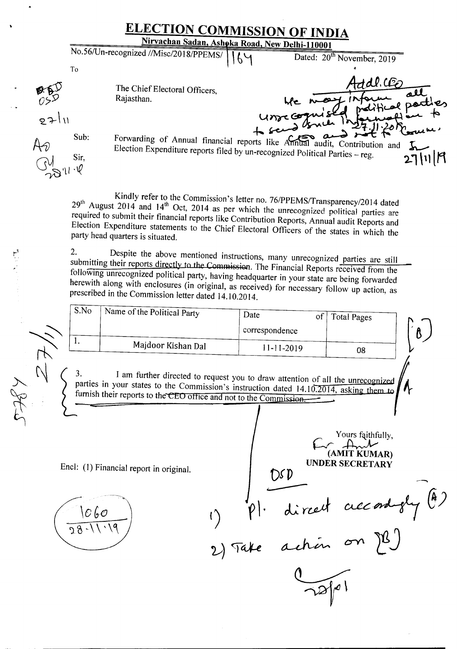**ELECTION COMMISSION OF INDIA** Nirvachan Sadan, Ashoka Road, New Delhi-110001 No.56/Un-recognized //Misc/2018/PPEMS/ Dated: 20<sup>th</sup> November, 2019  $64$ To The Chief Electoral Officers, Rajasthan. point pad unrecogn ۱۱ -Forwarding of Annual financial reports like Annual audit, Contribution and Sub: Election Expenditure reports filed by un-recognized Political Parties – reg.  $H\!-\!\!\sqrt{2}$  $\ln$  $\ln$ Sir.  $\cdot$ V

Kindly refer to the Commission's letter no. *761PPEMS/Transparency/2014* dated 29<sup>th</sup> August 2014 and 14<sup>th</sup> Oct, 2014 as per which the unrecognized political parties are required to submit their financial reports like Contribution Reports, Annual audit Reports and Election Expenditure statements to the Chief Electoral Officers of the states in which the party head quarters is situated.

2. Despite the above mentioned instructions, many unrecognized parties are still submitting their reports directly to the Commission. The Financial Reports received from the following unrecognized political party, having headquarter in your state are being forwarded herewith along with enclosures (in original, as received) for necessary follow up action, as prescribed in the Commission letter dated 14.10.2014.

| S.No | Name of the Political Party | Date<br>correspondence | of<br>Total Pages |  |
|------|-----------------------------|------------------------|-------------------|--|
|      | Majdoor Kishan Dal          | $11 - 11 - 2019$       | 08                |  |

3. I am further directed to request you to draw attention of all the unrecognized parties in your states to the Commission's instruction dated 14.10.2014, asking **thew to** furnish their reports to the CEO office and not to the Commission. <br> **1** 

Encl: (1) Financial report in original.

;'~,

**0.(1)**  $\overline{\phantom{0}}$ ~  $\Gamma(\gamma)$   $|\gamma|$  direct accordigly  $C$ **(AMIT KUMAR)**<br>**UNDER SECRETARY** 

Yours faithfully,

2) Take action on  $29$ 

~~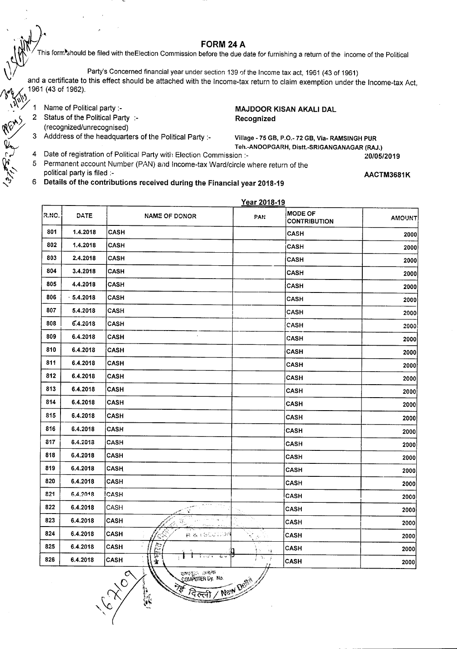$\mathbb{R}^n$  FORM 24 A

M This form∙should be filed with theElection Commission before the due date for furnishing a return of the income of the Political

Party's Concerned financial year under section 139 of the Income tax act, 1961 (43 of 1961)

and a certificate to this effect should be attached with the Income-tax return to claim exemption under the Income-tax Act, 1961 (43 of 1962). .\~\~~

1 Name of Political party :-

- 2 Status of the Political Party :-(recognized/unrecognised)
- 3 Adddress of the headquarters of the Political Party :-

MAJDOOR KISAN AKALI DAL Recognized

Village - 75 GB, P.O.- 72 GB, Via- RAMSINGH PUR

- 4 Date of registration of Political Party with Election Commission :- *20/05/2019*
- 5 Permanent account Number (PAN) and Income-tax Ward/circle where return of the
- political party is filed :-
- 6 Details of the contributions received during the Financial year 2018-19

AACTM3681K

|               |                                       | Year 2018-19 |                                    |             |       |
|---------------|---------------------------------------|--------------|------------------------------------|-------------|-------|
| <b>AMOUNT</b> | <b>MODE OF</b><br><b>CONTRIBUTION</b> | PAN.         | <b>NAME OF DONOR</b>               | DATE        | R.NO. |
| 2000          | <b>CASH</b>                           |              | <b>CASH</b>                        | 1.4.2018    | 801   |
| 2000          | <b>CASH</b>                           |              | CASH                               | 1.4.2018    | 802   |
| 2000          | CASH                                  |              | <b>CASH</b>                        | 2.4.2018    | 803   |
| 2000          | <b>CASH</b>                           |              | CASH                               | 3.4.2018    | 804   |
| 2000          | CASH                                  |              | <b>CASH</b>                        | 4.4.2018    | 805   |
| 2000          | <b>CASH</b>                           |              | <b>CASH</b>                        | $-5.4.2018$ | 806   |
| 2000          | <b>CASH</b>                           |              | <b>CASH</b>                        | 5.4.2018    | 807   |
| 2000          | <b>CASH</b>                           |              | <b>CASH</b>                        | 6.4.2018    | 808   |
| 2000          | CASH                                  |              | <b>CASH</b>                        | 6.4.2018    | 809   |
| 2000          | <b>CASH</b>                           |              | <b>CASH</b>                        | 6.4.2018    | 810   |
| 2000          | <b>CASH</b>                           |              | <b>CASH</b>                        | 6.4.2018    | 811   |
| 2000          | <b>CASH</b>                           |              | CASH                               | 6.4.2018    | 812   |
| 2000          | CASH                                  |              | CASH                               | 6.4.2018    | 813   |
| 2000          | <b>CASH</b>                           |              | CASH                               | 6.4.2018    | 814   |
| 2000          | CASH                                  |              | CASH                               | 6.4.2018    | 815   |
| 2000          | <b>CASH</b>                           |              | <b>CASH</b>                        | 6.4.2018    | 816   |
| 2000          | <b>CASH</b>                           |              | CASH                               | 6.4.2018    | 817   |
| 2000          | <b>CASH</b>                           |              | CASH                               | 6.4.2018    | 818   |
| 2000          | <b>CASH</b>                           |              | <b>CASH</b>                        | 6.4.2018    | 819   |
| 2000          | CASH                                  |              | CASH                               | 6.4.2018    | 820   |
| 2000          | <b>CASH</b>                           |              | CASH                               | 6.4.2018    | 821   |
| 2000          | <b>CASH</b>                           |              | CASH<br>X                          | 6.4.2018    | 822   |
| 2000          | CASH                                  | ч.           | CASH<br>73                         | 6.4.2018    | 823   |
| 2000          | <b>CASH</b>                           | Ť,           | CASH<br>移 夜下台公司运纳                  | 6.4.2018    | 824   |
| 2000          | <b>CASH</b>                           | 11           | Þ<br>CASH                          | 6.4.2018    | 825   |
| 2000          | <b>CASH</b>                           | D.<br>- i    | Ş.<br>نہ ک<br>كالمحد<br>CASH<br>Ŷ. | 6.4.2018    | 826   |

 $\sum_{k=1}^{\infty}$  . The right  $\frac{1}{k}$  is the second  $\sum_{k=1}^{\infty}$ 

**New** 

Teh.-ANOOPGARH, Distt.-SRIGANGANAGAR (RAJ.)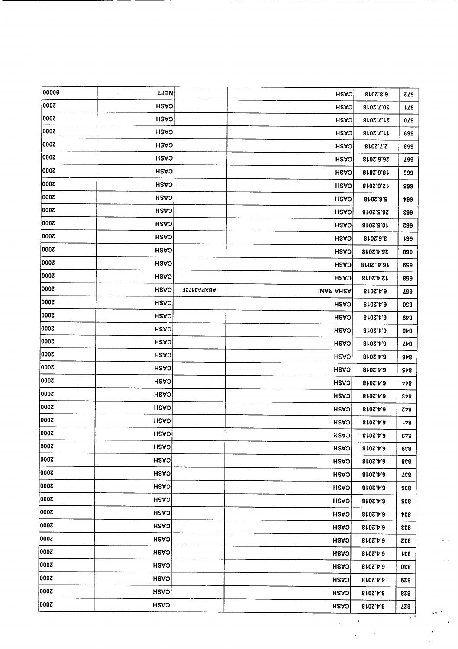| 00009        | <b>TRET</b>  |                   | CASH                   | 8102.8.9        | Z29            |                |
|--------------|--------------|-------------------|------------------------|-----------------|----------------|----------------|
| 2000         | CASH         |                   | <b>CASH</b>            | 8102.7.08       | L29            |                |
| 2000         | CASH         |                   | CASH                   | 810S.T.1S       | 0L9            |                |
| 0007         | CASH         |                   | CASH                   | 8102.T.M        | 699            |                |
| 000Z         | <b>CASH</b>  |                   | CASH                   | 810S.T.S        | 899            |                |
| 3000         | <b>CASH</b>  |                   | <b>CASH</b>            | 8102.8.82       | <b>299</b>     |                |
| 000Z         | CASH         |                   | CASH                   | 8102.9.81       | 999            |                |
| <b>S000</b>  | <b>HSAS</b>  |                   | CASH                   | 8102.9.21       | 999            |                |
| 2000         | <b>HSAS</b>  |                   | CASH                   | <b>Sr0S.3.8</b> | 799            |                |
| 2000         | <b>CASH</b>  |                   | <b>CASH</b>            | 8102.8.92       | <b>£99</b>     |                |
| 000Z         | <b>HSAO</b>  |                   | CASH                   | 8102.2.01       | <b>Z99</b>     |                |
| 000Z         | <b>CASH</b>  |                   | CASH                   | 3.5.2018        | <b>L99</b>     |                |
| 000Z         | <b>CASH</b>  |                   | <b>CASH</b>            | 25.4.2018       | 099            |                |
| 2000         | CASH         |                   | <b>HSA<sub>D</sub></b> | 810SA.31        | 699            |                |
| 000Z         | CASH         |                   | CASH                   | 12.4.2018       | 899            |                |
| 000Z         | CASH         | <b>ABXPA3172F</b> | <b>INAR AHEA</b>       | 8102.4.3        | <b>ZS9</b>     |                |
| 000Z         | CASH         |                   | <b>CASH</b>            | 8102.4.8        | 058            |                |
| 000Z         | <b>HSAO</b>  |                   | CASH                   | 8102.4.3        | 678            |                |
| 000Z         | CV2H         |                   | CASH                   | 8102.4.9        | 848            |                |
| 000Z         | CASH         |                   | <b>CASH</b>            | 8102.4.8        | 748            |                |
| 2000         | CASH         |                   | <b>CASH</b>            | 8102.4.8        | 9 <sub>5</sub> |                |
| 000Z         | <b>HSAS</b>  |                   | CASH                   | 8102.4.8        | \$18           |                |
| 2000         | <b>CASH</b>  |                   | CASH                   | 8102.4.3        | rb8            |                |
| 0007         | CASH         |                   | CASH                   | 810S.A.3        | 843            |                |
| 0007         | CASH         |                   | <b>CASH</b>            | 6.4.2018        | $z_{12}$       |                |
| 2000         | CASH         |                   | CASH                   | 8102.4.3        | LÞ8            |                |
| 2000         | <b>HSAS!</b> |                   | <b>HSVO</b>            | <b>8:02.2.3</b> | <b>C4S</b>     |                |
| 2000         | CASH         |                   | <b>CASH</b>            | 8102.4.8        | 836            |                |
| <b>2000 </b> | CASH         |                   | <b>HSAS</b>            | 8102.4.3        | 828            |                |
| 000Z         | CASH         |                   | <b>CASH</b>            | 8102.4.3        | 537            |                |
| 000Z         | CASH         |                   | CASH                   | 8102.4.3        | 836            |                |
| 3000]        | <b>HSAS</b>  |                   | <b>CASH</b>            | 8102.4.3        | 832            |                |
| 2000         | <b>HSAS</b>  |                   | CASH                   | 8102.4.8        | 434            |                |
| 000Z         | <b>CASH</b>  |                   | CASH                   | 6.4.2018        | 833            |                |
| 5000         | <b>CASH</b>  |                   | CASH                   | 8102.4.8        | <b>832</b>     |                |
| 000Z         | CASH         |                   | CASH                   | 8102.4.3        | <b>S31</b>     |                |
| 2000         | <b>HSAO</b>  |                   | <b>CASH</b>            | 6.4.2018        | 830            |                |
| 2000         | <b>HSAS</b>  |                   | CASH                   | 8102.4.3        | 678            |                |
| 3000         | <b>HSAS</b>  |                   | <b>CASH</b>            | 8102.4.8        | 828            |                |
| 3000         | <b>HSAS</b>  |                   | CASH                   | 8102.4.3        | ZZ8            | $\sim$ $^{-1}$ |

 $\hat{\mathcal{L}}_{\text{eff}}$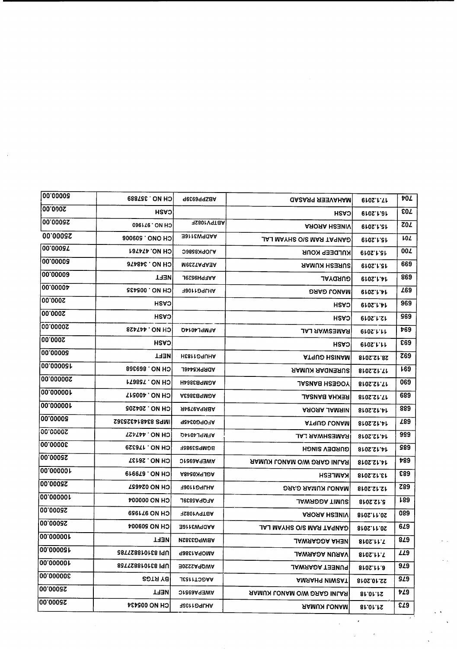| <b>CH NO. 357889</b>    | ABZPP69339        | <b>UASASS SENTANAM</b>           | <b>6102.1.Th</b>                                                         | 40Z                                                                      |
|-------------------------|-------------------|----------------------------------|--------------------------------------------------------------------------|--------------------------------------------------------------------------|
| CASH                    |                   | <b>CASH</b>                      | <b>0102.1.31</b>                                                         | <b>EOZ</b>                                                               |
| <b>096126 ON HO</b>     | PV1082F           | <b>ARORA HSENIV</b>              | 15.1.2019                                                                | ZOZ                                                                      |
| <b>900609 ONO HO!</b>   | AADPW3116E        | <b>JAJ MAYHS O\S MAS TAYMAD</b>  | <b>610S.1.21</b>                                                         | <b>LOZ</b>                                                               |
| <b>LON NO. 474761</b>   | AJOPK8586C        | KNLDEEP KOUR                     | <b>0102.1.219</b>                                                        | 00Z                                                                      |
| CH NO. 348476           | MecstA9A3A        | ЯАМИЯ НЕЗЯИЗ                     | <b>610S.I.CT</b>                                                         | 669                                                                      |
| <b>NEFT</b>             | AAFPH9529L        | GURDYAL                          | 0105.1.41                                                                | 869                                                                      |
| CH NO. 005435           | HJJPG1106F        | <b>DAAD LONAM</b>                | $6102$ . $1.1$                                                           | <b>Z69</b>                                                               |
| <b>CASH</b>             |                   | <b>CASH</b>                      | 6102.1.11                                                                | 969                                                                      |
| CVSH                    |                   | CASH                             | 0102.1.21                                                                | <b>S69</b>                                                               |
| <b>BSATAA. ON HOI</b>   | <b>AFMPL4014Q</b> | <b>RAMESWAR LAL</b>              | 0102.1.11                                                                | 469                                                                      |
| CASH                    |                   | <b>HSAS</b>                      | 0.02.1.11                                                                | <b>893</b>                                                               |
| <b>TABM</b>             | <b>AHUPG1183H</b> | <b>ATRUD HSINAM</b>              | 28.12.2018                                                               | <b>Z69</b>                                                               |
| CH NO. 869368           | ADRPK5446L        | <b>SURENDAR KUMAR</b>            | 17.12.2018                                                               | <b>L69</b>                                                               |
| <b>LZ98SZ . ON HO</b>   | AGMPB3864H        | <b>JASNAS H23OOY</b>             | 8102.ST.TT                                                               | 069                                                                      |
| CH NO. 400517           | AGMPB3863A        | REKHA BANSAL                     | 8102.ST.TT                                                               | 689                                                                      |
| CH NO. 204205           | <b>ABRPAST94R</b> | <b>AROAA JAMAIN</b>              | 14.12.2018                                                               | 889                                                                      |
| IMPS 834814325362       | AFOPG0345P        | <b>ATRUO LOUAM</b>               | 14.12.2018                                                               | <b>Z89</b>                                                               |
| CH NO. 447427           | AFMPL4014Q        | <b>RAMESHWAR LAL</b>             | 14.12.2018                                                               | 999                                                                      |
| CH NO. 176329           | <b>BGMPS3985F</b> | <b>GURDEN SINGH</b>              | 8105.SM.AT                                                               | 989                                                                      |
| CH NO. 26137            | AWEPA6951C        | RAJNI GARG W/O MANOJ KUMAR       | 8102.SM.PT                                                               | 489                                                                      |
| <b>CH NO. 679919</b>    | AGLPK0548A        | KAMLESH                          | 8102.21.81                                                               | £89                                                                      |
| CH NO 034621            | AHJPG1106F        | <b>DRAD RUMUN LONAM</b>          | 12.12.2018                                                               | <b>Z89</b>                                                               |
| <b>CH NO 000004</b>     | <b>AFQPA5839L</b> | <b>JAWROOA TIMUS</b>             | <b>STOS.ST.S</b>                                                         | 189                                                                      |
| CH NO 811898            | H2801V9T8A        | <b>ARORA HESNIV</b>              | 8102.11.0S                                                               | 089                                                                      |
| <b>CH NO 209004</b>     | BADPW3116E        | <b>JAJ MAYHS O\S MASI TAYMAƏ</b> | 810S.11.0S                                                               | <b>629</b>                                                               |
| <b>THEN</b>             | <b>ABWPG3382N</b> |                                  |                                                                          | 879                                                                      |
| <b>B87TS8810168 ISU</b> | <b>988CLA9OMA</b> | <b>JAWAADA NUAAV</b>             |                                                                          | <b>ZZ9</b>                                                               |
| UPI 8310158 ISB         | AWQPA2220E        | PUNEET AGARWAL                   |                                                                          | 949                                                                      |
| <b>89TRY8</b>           | <b>AAGCT1153L</b> | <b>AMAAHA MIWSAT</b>             |                                                                          | SZ9                                                                      |
| TRET                    | AWEPA6951C        |                                  |                                                                          | ÞZ9                                                                      |
| CH NO 005434            | <b>RHJPG1103F</b> |                                  |                                                                          | E73                                                                      |
|                         |                   |                                  | <b>JAWAAOOA AHEM</b><br>RAJNI GARG WIO MANOJ KUMAR<br><b>SAMUN LONAM</b> | 8102.11.T<br>810S.M.T<br>8102.11.3<br>22.10.2018<br>81.01.12<br>81.01.1S |

 $\omega$  .  $\lambda$ 

 $\bar{\bar{\bar{z}}}$ 

 $\overline{\phantom{a}}$ 

 $\hat{\mathbf{x}}$ 

 $\sim$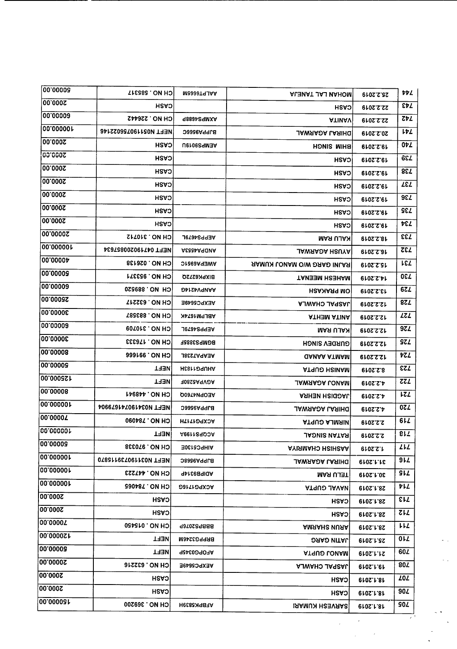| 2000.00<br><b>HSASI</b><br>CASH<br>22.2.2019<br>00.00009<br><b>CH NO. 226442</b><br>AXMPS4R89<br><b>ATIMAV</b><br>22.2.2019<br>00.00000L<br>NEFT N051190752022146<br>BJPPA956C<br><b>JAWAADA LASIHQ</b><br>20.2.2019<br>2000.00<br>CASH<br><b>AEMPS9019U</b><br>BHIM SINGH<br>19.2.2019<br>00.000S<br>CASH<br>CASH<br>19.2.2019<br>00.0002<br>CASH<br><b>HSAS</b><br>19.2.2019<br><b>2000.00</b><br><b>CASH</b><br><b>CASH</b><br>19.2.2019<br><b>00.000S</b><br><b>CASH</b><br>CASH<br>19.2.2019<br> 00.000S<br><b>CASH</b><br><b>CASH</b><br>19.2.2019<br>2000.00<br>CV2H<br>CASH<br>19.2.2019<br>00'00007<br><b>CH NO. 310712</b><br>AEPPS4679L<br>KALU RAM<br>18.2.2019<br> 00.000001<br>NEFT 047190200857634<br><b>ACCCAA JOINA</b><br><b>JAWAADA HSUYA</b><br>16.2.2019<br>00.00004<br>CH NO. 026138<br>AWEPA6951C<br><b>AAMUN LONAM OIW DAAD INLAR</b><br>15.2.2019<br> 00.0000 <del>0</del><br>CH NO. 953371<br><b>BIXPK6272Q</b><br>TANESH NEENAT<br><b>212.2019</b><br>00.00009<br><b>CH NO. 889520</b><br><b>AANPV4214G</b><br><b>UN PRAKASH</b><br>13.2.2019<br>25000.00 <br>CH NO. 632217<br>AEXPC5649E<br><b>AJWAHO JARRAL</b><br>12.2.2019<br> 00.0000£<br>CH NO. 883587<br>ABLPM1674K<br><b>ATHEM ATIMA</b><br>12.2.2019<br> 00'00009<br><b>CH NO. 310709</b><br><b>AEPPS4679L</b><br><b>KALU RAM</b><br>12.2.2019<br>130000.00<br>CH NO. 176333<br>BGMPS3885F<br><b>GURDEN SINGH</b><br>12.2.2019<br>00.00008<br>CH NO. 991666<br>ヤてん<br><b>AEAPA7238L</b><br><b>GANAA ATMAM</b><br>12.2.2019<br> 00.00005<br>EZL<br>NEFT<br><b>AHUPG1183H</b><br><b>ATRUD HSINAM</b><br>8.2.2019<br>125000.00<br>ZZL<br><b>NEFT</b><br>AGVPA5280F<br>JAWAAƏA LONAM<br><b>Qros.S.A</b><br>00 00008<br><b>LZL</b><br>CH NO. 448941<br>AEOPN4760Q<br><b>ASHEN HEIGOAL</b><br><b>6102.S.A</b><br>100.000001<br>NEFT N034190741679904<br>0Z L<br>BJPPA9566C<br><b>JAWAAJA LASIHQ</b><br>610ZZ<br> 00'0000 <i>L</i><br>6L<br><b>060187. ON HO</b><br><b>ACXPG1717H</b><br><b>ATRILA GUPTA</b><br>2.2.2019<br><b>100000000</b><br>817<br><b>NEET</b><br><b>ACQPS1199A</b><br><b>JAONIS NATAR</b><br>2.2.2019<br>00.00003<br>CH NO. 970338<br>LLL<br>AIHPC5130E<br><b>AYISMAHO HSIHSAA</b><br>1.2.2019<br>100.00000F<br>9L<br>NEFT N031190739115870<br><b>BJPPA9568C</b><br><b>JAWAASA LASIHG</b><br>910S.F.F<br> 00.000001<br>SIL<br><b>CSSTAA. ON HO</b><br><b>ADIPB9314P</b><br>TELU RAM<br>810S.1.0E<br>∣00.00000 <b>↑</b><br>ヤレム<br><b>CH NO. 784065</b><br>ACXPG1716G<br><b>ATAUS JAVAN</b><br>28.1.2019<br> 00.000S<br>εIJ<br>CASH<br>CASH<br><b>28.1.2019</b><br>00.000S<br><b>ZLL</b><br>CASH<br><b>CASH</b><br><b>28.1.2019</b><br> 00'0000Z<br>CH NO. 015450<br>りし<br>BBBb202046b<br><b>AMAAHS NUAA</b><br>28.1.2019<br>120000070<br><b>OI</b><br>TRET<br>BRPPG3246M<br><b>DAAD NITAL</b><br><b>25.1.2019</b><br>00.00008<br>60Z<br><b>TABM</b><br>AFOPG0345P<br><b>ATRUO LOUAM</b><br><b>21.1.2019</b><br>20000.00<br>80Z<br>CH NO. 632216<br>AEXPC5649E<br><b>AJWAHO JARRAL</b><br><b>6102.1.81</b><br>2000.00<br><b>ZOZ</b><br><b>CASH</b><br>CASH<br><b>610S.1.81</b><br>2000.00<br>90Z<br>CASH<br>CASH<br><b>6102.1.81</b> | 00.00008  | <b>CH NO. 585317</b> | M2999T9JAA | <b>ALEVAT LAL TAUEJA</b> | 25.2.2019 | vÞL.       |
|--------------------------------------------------------------------------------------------------------------------------------------------------------------------------------------------------------------------------------------------------------------------------------------------------------------------------------------------------------------------------------------------------------------------------------------------------------------------------------------------------------------------------------------------------------------------------------------------------------------------------------------------------------------------------------------------------------------------------------------------------------------------------------------------------------------------------------------------------------------------------------------------------------------------------------------------------------------------------------------------------------------------------------------------------------------------------------------------------------------------------------------------------------------------------------------------------------------------------------------------------------------------------------------------------------------------------------------------------------------------------------------------------------------------------------------------------------------------------------------------------------------------------------------------------------------------------------------------------------------------------------------------------------------------------------------------------------------------------------------------------------------------------------------------------------------------------------------------------------------------------------------------------------------------------------------------------------------------------------------------------------------------------------------------------------------------------------------------------------------------------------------------------------------------------------------------------------------------------------------------------------------------------------------------------------------------------------------------------------------------------------------------------------------------------------------------------------------------------------------------------------------------------------------------------------------------------------------------------------------------------------------------------------------------------------------------------------------------------------------------------------------------------------------------------------------------------------------------------------------------------------------------------------------------------------------------------------------------------------------------------------------------------------------------------------------------------------------------------------------------------------------|-----------|----------------------|------------|--------------------------|-----------|------------|
|                                                                                                                                                                                                                                                                                                                                                                                                                                                                                                                                                                                                                                                                                                                                                                                                                                                                                                                                                                                                                                                                                                                                                                                                                                                                                                                                                                                                                                                                                                                                                                                                                                                                                                                                                                                                                                                                                                                                                                                                                                                                                                                                                                                                                                                                                                                                                                                                                                                                                                                                                                                                                                                                                                                                                                                                                                                                                                                                                                                                                                                                                                                                      |           |                      |            |                          |           | EÞL.       |
|                                                                                                                                                                                                                                                                                                                                                                                                                                                                                                                                                                                                                                                                                                                                                                                                                                                                                                                                                                                                                                                                                                                                                                                                                                                                                                                                                                                                                                                                                                                                                                                                                                                                                                                                                                                                                                                                                                                                                                                                                                                                                                                                                                                                                                                                                                                                                                                                                                                                                                                                                                                                                                                                                                                                                                                                                                                                                                                                                                                                                                                                                                                                      |           |                      |            |                          |           | ZÞL.       |
|                                                                                                                                                                                                                                                                                                                                                                                                                                                                                                                                                                                                                                                                                                                                                                                                                                                                                                                                                                                                                                                                                                                                                                                                                                                                                                                                                                                                                                                                                                                                                                                                                                                                                                                                                                                                                                                                                                                                                                                                                                                                                                                                                                                                                                                                                                                                                                                                                                                                                                                                                                                                                                                                                                                                                                                                                                                                                                                                                                                                                                                                                                                                      |           |                      |            |                          |           | レヤム        |
|                                                                                                                                                                                                                                                                                                                                                                                                                                                                                                                                                                                                                                                                                                                                                                                                                                                                                                                                                                                                                                                                                                                                                                                                                                                                                                                                                                                                                                                                                                                                                                                                                                                                                                                                                                                                                                                                                                                                                                                                                                                                                                                                                                                                                                                                                                                                                                                                                                                                                                                                                                                                                                                                                                                                                                                                                                                                                                                                                                                                                                                                                                                                      |           |                      |            |                          |           | 07L        |
|                                                                                                                                                                                                                                                                                                                                                                                                                                                                                                                                                                                                                                                                                                                                                                                                                                                                                                                                                                                                                                                                                                                                                                                                                                                                                                                                                                                                                                                                                                                                                                                                                                                                                                                                                                                                                                                                                                                                                                                                                                                                                                                                                                                                                                                                                                                                                                                                                                                                                                                                                                                                                                                                                                                                                                                                                                                                                                                                                                                                                                                                                                                                      |           |                      |            |                          |           | <b>684</b> |
|                                                                                                                                                                                                                                                                                                                                                                                                                                                                                                                                                                                                                                                                                                                                                                                                                                                                                                                                                                                                                                                                                                                                                                                                                                                                                                                                                                                                                                                                                                                                                                                                                                                                                                                                                                                                                                                                                                                                                                                                                                                                                                                                                                                                                                                                                                                                                                                                                                                                                                                                                                                                                                                                                                                                                                                                                                                                                                                                                                                                                                                                                                                                      |           |                      |            |                          |           | 738        |
|                                                                                                                                                                                                                                                                                                                                                                                                                                                                                                                                                                                                                                                                                                                                                                                                                                                                                                                                                                                                                                                                                                                                                                                                                                                                                                                                                                                                                                                                                                                                                                                                                                                                                                                                                                                                                                                                                                                                                                                                                                                                                                                                                                                                                                                                                                                                                                                                                                                                                                                                                                                                                                                                                                                                                                                                                                                                                                                                                                                                                                                                                                                                      |           |                      |            |                          |           | <b>T37</b> |
|                                                                                                                                                                                                                                                                                                                                                                                                                                                                                                                                                                                                                                                                                                                                                                                                                                                                                                                                                                                                                                                                                                                                                                                                                                                                                                                                                                                                                                                                                                                                                                                                                                                                                                                                                                                                                                                                                                                                                                                                                                                                                                                                                                                                                                                                                                                                                                                                                                                                                                                                                                                                                                                                                                                                                                                                                                                                                                                                                                                                                                                                                                                                      |           |                      |            |                          |           | 9E L       |
|                                                                                                                                                                                                                                                                                                                                                                                                                                                                                                                                                                                                                                                                                                                                                                                                                                                                                                                                                                                                                                                                                                                                                                                                                                                                                                                                                                                                                                                                                                                                                                                                                                                                                                                                                                                                                                                                                                                                                                                                                                                                                                                                                                                                                                                                                                                                                                                                                                                                                                                                                                                                                                                                                                                                                                                                                                                                                                                                                                                                                                                                                                                                      |           |                      |            |                          |           | SEL        |
|                                                                                                                                                                                                                                                                                                                                                                                                                                                                                                                                                                                                                                                                                                                                                                                                                                                                                                                                                                                                                                                                                                                                                                                                                                                                                                                                                                                                                                                                                                                                                                                                                                                                                                                                                                                                                                                                                                                                                                                                                                                                                                                                                                                                                                                                                                                                                                                                                                                                                                                                                                                                                                                                                                                                                                                                                                                                                                                                                                                                                                                                                                                                      |           |                      |            |                          |           | 4 PE       |
|                                                                                                                                                                                                                                                                                                                                                                                                                                                                                                                                                                                                                                                                                                                                                                                                                                                                                                                                                                                                                                                                                                                                                                                                                                                                                                                                                                                                                                                                                                                                                                                                                                                                                                                                                                                                                                                                                                                                                                                                                                                                                                                                                                                                                                                                                                                                                                                                                                                                                                                                                                                                                                                                                                                                                                                                                                                                                                                                                                                                                                                                                                                                      |           |                      |            |                          |           | <b>EEL</b> |
|                                                                                                                                                                                                                                                                                                                                                                                                                                                                                                                                                                                                                                                                                                                                                                                                                                                                                                                                                                                                                                                                                                                                                                                                                                                                                                                                                                                                                                                                                                                                                                                                                                                                                                                                                                                                                                                                                                                                                                                                                                                                                                                                                                                                                                                                                                                                                                                                                                                                                                                                                                                                                                                                                                                                                                                                                                                                                                                                                                                                                                                                                                                                      |           |                      |            |                          |           | <b>SET</b> |
|                                                                                                                                                                                                                                                                                                                                                                                                                                                                                                                                                                                                                                                                                                                                                                                                                                                                                                                                                                                                                                                                                                                                                                                                                                                                                                                                                                                                                                                                                                                                                                                                                                                                                                                                                                                                                                                                                                                                                                                                                                                                                                                                                                                                                                                                                                                                                                                                                                                                                                                                                                                                                                                                                                                                                                                                                                                                                                                                                                                                                                                                                                                                      |           |                      |            |                          |           | LEL        |
|                                                                                                                                                                                                                                                                                                                                                                                                                                                                                                                                                                                                                                                                                                                                                                                                                                                                                                                                                                                                                                                                                                                                                                                                                                                                                                                                                                                                                                                                                                                                                                                                                                                                                                                                                                                                                                                                                                                                                                                                                                                                                                                                                                                                                                                                                                                                                                                                                                                                                                                                                                                                                                                                                                                                                                                                                                                                                                                                                                                                                                                                                                                                      |           |                      |            |                          |           | <b>OEL</b> |
|                                                                                                                                                                                                                                                                                                                                                                                                                                                                                                                                                                                                                                                                                                                                                                                                                                                                                                                                                                                                                                                                                                                                                                                                                                                                                                                                                                                                                                                                                                                                                                                                                                                                                                                                                                                                                                                                                                                                                                                                                                                                                                                                                                                                                                                                                                                                                                                                                                                                                                                                                                                                                                                                                                                                                                                                                                                                                                                                                                                                                                                                                                                                      |           |                      |            |                          |           | 67L        |
|                                                                                                                                                                                                                                                                                                                                                                                                                                                                                                                                                                                                                                                                                                                                                                                                                                                                                                                                                                                                                                                                                                                                                                                                                                                                                                                                                                                                                                                                                                                                                                                                                                                                                                                                                                                                                                                                                                                                                                                                                                                                                                                                                                                                                                                                                                                                                                                                                                                                                                                                                                                                                                                                                                                                                                                                                                                                                                                                                                                                                                                                                                                                      |           |                      |            |                          |           | 8Z L       |
|                                                                                                                                                                                                                                                                                                                                                                                                                                                                                                                                                                                                                                                                                                                                                                                                                                                                                                                                                                                                                                                                                                                                                                                                                                                                                                                                                                                                                                                                                                                                                                                                                                                                                                                                                                                                                                                                                                                                                                                                                                                                                                                                                                                                                                                                                                                                                                                                                                                                                                                                                                                                                                                                                                                                                                                                                                                                                                                                                                                                                                                                                                                                      |           |                      |            |                          |           | <b>IST</b> |
|                                                                                                                                                                                                                                                                                                                                                                                                                                                                                                                                                                                                                                                                                                                                                                                                                                                                                                                                                                                                                                                                                                                                                                                                                                                                                                                                                                                                                                                                                                                                                                                                                                                                                                                                                                                                                                                                                                                                                                                                                                                                                                                                                                                                                                                                                                                                                                                                                                                                                                                                                                                                                                                                                                                                                                                                                                                                                                                                                                                                                                                                                                                                      |           |                      |            |                          |           | <b>974</b> |
|                                                                                                                                                                                                                                                                                                                                                                                                                                                                                                                                                                                                                                                                                                                                                                                                                                                                                                                                                                                                                                                                                                                                                                                                                                                                                                                                                                                                                                                                                                                                                                                                                                                                                                                                                                                                                                                                                                                                                                                                                                                                                                                                                                                                                                                                                                                                                                                                                                                                                                                                                                                                                                                                                                                                                                                                                                                                                                                                                                                                                                                                                                                                      |           |                      |            |                          |           | <b>SZL</b> |
|                                                                                                                                                                                                                                                                                                                                                                                                                                                                                                                                                                                                                                                                                                                                                                                                                                                                                                                                                                                                                                                                                                                                                                                                                                                                                                                                                                                                                                                                                                                                                                                                                                                                                                                                                                                                                                                                                                                                                                                                                                                                                                                                                                                                                                                                                                                                                                                                                                                                                                                                                                                                                                                                                                                                                                                                                                                                                                                                                                                                                                                                                                                                      |           |                      |            |                          |           |            |
|                                                                                                                                                                                                                                                                                                                                                                                                                                                                                                                                                                                                                                                                                                                                                                                                                                                                                                                                                                                                                                                                                                                                                                                                                                                                                                                                                                                                                                                                                                                                                                                                                                                                                                                                                                                                                                                                                                                                                                                                                                                                                                                                                                                                                                                                                                                                                                                                                                                                                                                                                                                                                                                                                                                                                                                                                                                                                                                                                                                                                                                                                                                                      |           |                      |            |                          |           |            |
|                                                                                                                                                                                                                                                                                                                                                                                                                                                                                                                                                                                                                                                                                                                                                                                                                                                                                                                                                                                                                                                                                                                                                                                                                                                                                                                                                                                                                                                                                                                                                                                                                                                                                                                                                                                                                                                                                                                                                                                                                                                                                                                                                                                                                                                                                                                                                                                                                                                                                                                                                                                                                                                                                                                                                                                                                                                                                                                                                                                                                                                                                                                                      |           |                      |            |                          |           |            |
|                                                                                                                                                                                                                                                                                                                                                                                                                                                                                                                                                                                                                                                                                                                                                                                                                                                                                                                                                                                                                                                                                                                                                                                                                                                                                                                                                                                                                                                                                                                                                                                                                                                                                                                                                                                                                                                                                                                                                                                                                                                                                                                                                                                                                                                                                                                                                                                                                                                                                                                                                                                                                                                                                                                                                                                                                                                                                                                                                                                                                                                                                                                                      |           |                      |            |                          |           |            |
|                                                                                                                                                                                                                                                                                                                                                                                                                                                                                                                                                                                                                                                                                                                                                                                                                                                                                                                                                                                                                                                                                                                                                                                                                                                                                                                                                                                                                                                                                                                                                                                                                                                                                                                                                                                                                                                                                                                                                                                                                                                                                                                                                                                                                                                                                                                                                                                                                                                                                                                                                                                                                                                                                                                                                                                                                                                                                                                                                                                                                                                                                                                                      |           |                      |            |                          |           |            |
|                                                                                                                                                                                                                                                                                                                                                                                                                                                                                                                                                                                                                                                                                                                                                                                                                                                                                                                                                                                                                                                                                                                                                                                                                                                                                                                                                                                                                                                                                                                                                                                                                                                                                                                                                                                                                                                                                                                                                                                                                                                                                                                                                                                                                                                                                                                                                                                                                                                                                                                                                                                                                                                                                                                                                                                                                                                                                                                                                                                                                                                                                                                                      |           |                      |            |                          |           |            |
|                                                                                                                                                                                                                                                                                                                                                                                                                                                                                                                                                                                                                                                                                                                                                                                                                                                                                                                                                                                                                                                                                                                                                                                                                                                                                                                                                                                                                                                                                                                                                                                                                                                                                                                                                                                                                                                                                                                                                                                                                                                                                                                                                                                                                                                                                                                                                                                                                                                                                                                                                                                                                                                                                                                                                                                                                                                                                                                                                                                                                                                                                                                                      |           |                      |            |                          |           |            |
|                                                                                                                                                                                                                                                                                                                                                                                                                                                                                                                                                                                                                                                                                                                                                                                                                                                                                                                                                                                                                                                                                                                                                                                                                                                                                                                                                                                                                                                                                                                                                                                                                                                                                                                                                                                                                                                                                                                                                                                                                                                                                                                                                                                                                                                                                                                                                                                                                                                                                                                                                                                                                                                                                                                                                                                                                                                                                                                                                                                                                                                                                                                                      |           |                      |            |                          |           |            |
|                                                                                                                                                                                                                                                                                                                                                                                                                                                                                                                                                                                                                                                                                                                                                                                                                                                                                                                                                                                                                                                                                                                                                                                                                                                                                                                                                                                                                                                                                                                                                                                                                                                                                                                                                                                                                                                                                                                                                                                                                                                                                                                                                                                                                                                                                                                                                                                                                                                                                                                                                                                                                                                                                                                                                                                                                                                                                                                                                                                                                                                                                                                                      |           |                      |            |                          |           |            |
|                                                                                                                                                                                                                                                                                                                                                                                                                                                                                                                                                                                                                                                                                                                                                                                                                                                                                                                                                                                                                                                                                                                                                                                                                                                                                                                                                                                                                                                                                                                                                                                                                                                                                                                                                                                                                                                                                                                                                                                                                                                                                                                                                                                                                                                                                                                                                                                                                                                                                                                                                                                                                                                                                                                                                                                                                                                                                                                                                                                                                                                                                                                                      |           |                      |            |                          |           |            |
|                                                                                                                                                                                                                                                                                                                                                                                                                                                                                                                                                                                                                                                                                                                                                                                                                                                                                                                                                                                                                                                                                                                                                                                                                                                                                                                                                                                                                                                                                                                                                                                                                                                                                                                                                                                                                                                                                                                                                                                                                                                                                                                                                                                                                                                                                                                                                                                                                                                                                                                                                                                                                                                                                                                                                                                                                                                                                                                                                                                                                                                                                                                                      |           |                      |            |                          |           |            |
|                                                                                                                                                                                                                                                                                                                                                                                                                                                                                                                                                                                                                                                                                                                                                                                                                                                                                                                                                                                                                                                                                                                                                                                                                                                                                                                                                                                                                                                                                                                                                                                                                                                                                                                                                                                                                                                                                                                                                                                                                                                                                                                                                                                                                                                                                                                                                                                                                                                                                                                                                                                                                                                                                                                                                                                                                                                                                                                                                                                                                                                                                                                                      |           |                      |            |                          |           |            |
|                                                                                                                                                                                                                                                                                                                                                                                                                                                                                                                                                                                                                                                                                                                                                                                                                                                                                                                                                                                                                                                                                                                                                                                                                                                                                                                                                                                                                                                                                                                                                                                                                                                                                                                                                                                                                                                                                                                                                                                                                                                                                                                                                                                                                                                                                                                                                                                                                                                                                                                                                                                                                                                                                                                                                                                                                                                                                                                                                                                                                                                                                                                                      |           |                      |            |                          |           |            |
|                                                                                                                                                                                                                                                                                                                                                                                                                                                                                                                                                                                                                                                                                                                                                                                                                                                                                                                                                                                                                                                                                                                                                                                                                                                                                                                                                                                                                                                                                                                                                                                                                                                                                                                                                                                                                                                                                                                                                                                                                                                                                                                                                                                                                                                                                                                                                                                                                                                                                                                                                                                                                                                                                                                                                                                                                                                                                                                                                                                                                                                                                                                                      |           |                      |            |                          |           |            |
|                                                                                                                                                                                                                                                                                                                                                                                                                                                                                                                                                                                                                                                                                                                                                                                                                                                                                                                                                                                                                                                                                                                                                                                                                                                                                                                                                                                                                                                                                                                                                                                                                                                                                                                                                                                                                                                                                                                                                                                                                                                                                                                                                                                                                                                                                                                                                                                                                                                                                                                                                                                                                                                                                                                                                                                                                                                                                                                                                                                                                                                                                                                                      |           |                      |            |                          |           |            |
|                                                                                                                                                                                                                                                                                                                                                                                                                                                                                                                                                                                                                                                                                                                                                                                                                                                                                                                                                                                                                                                                                                                                                                                                                                                                                                                                                                                                                                                                                                                                                                                                                                                                                                                                                                                                                                                                                                                                                                                                                                                                                                                                                                                                                                                                                                                                                                                                                                                                                                                                                                                                                                                                                                                                                                                                                                                                                                                                                                                                                                                                                                                                      |           |                      |            |                          |           |            |
|                                                                                                                                                                                                                                                                                                                                                                                                                                                                                                                                                                                                                                                                                                                                                                                                                                                                                                                                                                                                                                                                                                                                                                                                                                                                                                                                                                                                                                                                                                                                                                                                                                                                                                                                                                                                                                                                                                                                                                                                                                                                                                                                                                                                                                                                                                                                                                                                                                                                                                                                                                                                                                                                                                                                                                                                                                                                                                                                                                                                                                                                                                                                      |           |                      |            |                          |           |            |
|                                                                                                                                                                                                                                                                                                                                                                                                                                                                                                                                                                                                                                                                                                                                                                                                                                                                                                                                                                                                                                                                                                                                                                                                                                                                                                                                                                                                                                                                                                                                                                                                                                                                                                                                                                                                                                                                                                                                                                                                                                                                                                                                                                                                                                                                                                                                                                                                                                                                                                                                                                                                                                                                                                                                                                                                                                                                                                                                                                                                                                                                                                                                      |           |                      |            |                          |           |            |
|                                                                                                                                                                                                                                                                                                                                                                                                                                                                                                                                                                                                                                                                                                                                                                                                                                                                                                                                                                                                                                                                                                                                                                                                                                                                                                                                                                                                                                                                                                                                                                                                                                                                                                                                                                                                                                                                                                                                                                                                                                                                                                                                                                                                                                                                                                                                                                                                                                                                                                                                                                                                                                                                                                                                                                                                                                                                                                                                                                                                                                                                                                                                      |           |                      |            |                          |           |            |
| CH NO. 369200<br><b>SOZ</b><br>AFBPK5839H<br><b>ISAMUN HSEVAARI</b><br><b>8102.1.81</b>                                                                                                                                                                                                                                                                                                                                                                                                                                                                                                                                                                                                                                                                                                                                                                                                                                                                                                                                                                                                                                                                                                                                                                                                                                                                                                                                                                                                                                                                                                                                                                                                                                                                                                                                                                                                                                                                                                                                                                                                                                                                                                                                                                                                                                                                                                                                                                                                                                                                                                                                                                                                                                                                                                                                                                                                                                                                                                                                                                                                                                              | 150000.00 |                      |            |                          |           |            |

 $\omega_{\rm{eff}}$ 

 $\hat{\mathcal{L}}_{\text{eff}}$ 

 $\frac{1}{2}$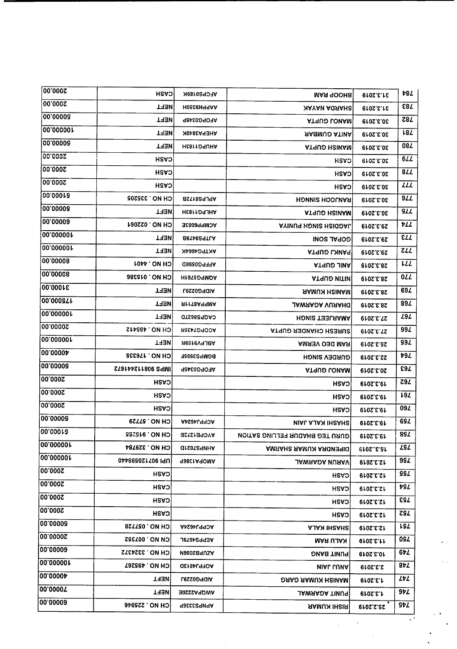| 00.0002           | <b>CASH</b>          | AFCPS0189K            | <b>MAR GOOHS</b>                      | 31.3.2019        | 78Z         |
|-------------------|----------------------|-----------------------|---------------------------------------|------------------|-------------|
| 00.0002           | <b>TRET</b>          | <b>H0&amp;CeVITAA</b> | <b>NAYAN AGRAHS</b>                   | <b>810S.E.15</b> | <b>ε82</b>  |
| 00.00006          | TRET                 | AFOPG0345P            | <b>ATRUD LONAM</b>                    | 30.3.2019        | Z8 <i>L</i> |
| 00.000001         | TRET                 | AHEPA3840K            | <b><i>AABMUƏ ATINA</i></b>            | 30.3.2019        | L8L         |
| 00.00008          | <b>THEN</b>          | HE811ORUHA            | <b>ATRUO HSINAM</b>                   | 30.3.2019        | 08 <i>L</i> |
| 00.0002           | <b>CASH</b>          |                       | <b>HSAO</b>                           | 30.3.2019        | 6L          |
| 2000.00           | CASH                 |                       |                                       | 30.3.2019        | <b>844</b>  |
| 00'000Z           | CASH                 |                       | CASH                                  |                  | <b>LLL</b>  |
| 00.000rs          | CH NO. 335205        | <b>APLPS5172B</b>     | CASH<br><b>HONNIS HOOLNAS</b>         | 30.3.2019        | <b>977</b>  |
| 00.00008          | <b>NEFT</b>          | <b>HESLIO4JHA</b>     |                                       | 30.3.2019        | SLL         |
| 00.00009          | CH NO. 022061        | ACMPP6083E            | <b>ATRUO HSINAM</b>                   | 30.3.2019        | VLL         |
| 00.000001         | <b>TRET</b>          | <b>Eleved TLA</b>     | <b>AYINUS HONIS HSIGOAL</b>           | 29.3.2019        | <b>ELL</b>  |
| 00.000001         | <b>NEFT</b>          |                       | <b>INOS TYJOS</b>                     | 29.3.2019        | 711         |
| 00.00008          | <b>LOPP ON HO</b>    | AKTPG4664K            | ATRUO L'ANAS                          | 29.3.2019        | 17T         |
| 00.00008          |                      | AFFPG0598D            | <b>ATAUS JINA</b>                     | <b>28.3.2019</b> |             |
| 00.0001E          | <b>6H NO. 015386</b> | <b>HISTED SIMOA</b>   | <b>ATAUO UITIN</b>                    | 28.3.2019        | 0ZZ         |
| 00.0008Th         | エヨヨハ                 | <b>AIDPG0229J</b>     | <b><i>AAMUN HSINAM</i></b>            | 28.3.2019        | 69Z         |
| 00'00000L         | <b>TRET</b>          | <b>SILTSARGMA</b>     | <b>JAWAAƏA VUAAHO</b>                 | 28.3.2019        | 89Z         |
| 20000000          | <b>TRET</b>          | CAQPS8627D            | <b>HONIS TERLYAMA</b>                 | 27.3.2019        | 29 L        |
|                   | CH NO. 485412        | <b>ACOPG7435R</b>     | <b>ATRESH CHANDER GUPTA</b>           | 27.3.2019        | 99 <i>L</i> |
| <b>00.000001</b>  | TRET                 | <b>ABLPV9159R</b>     | <b>AMABV OBD WAR</b>                  | 25.3.2019        | <b>994</b>  |
| ∣00'0000 <b>⊅</b> | CH NO. 176335        | BGMPS3985F            | <b>GURDEN SINGH</b>                   | 22.3.2019        | <b>794</b>  |
| 00.00008          | ST8144S11806 SAMI    | AFOPG0345P            | <b>ATRUO LOUAM</b>                    | 20.3.2019        | E97         |
| 2000.00           | <b>CASH</b>          |                       | CASH                                  | 19.3.2019        | Z9L         |
| 2000.00           | CASH                 |                       | CASH                                  | 19.3.2019        | 192         |
| 00.0002           | <b>CASH</b>          |                       | <b>HSASI</b>                          | 19.3.2019        | 09 <i>L</i> |
| 00.00008          | CH NO. 57729         | <b>ACPPJ4624A</b>     | <b>NIAL AJAN IHSAHS</b>               | 19.3.2019        | 69Z         |
| 00.00018          | CH NO. 915255        | AYCPB1272B            | <b>GURU TEG BHADUR FELLING SATION</b> | <b>6102.8.81</b> | <b>894</b>  |
| 00.000001         | <b>CH NO. 329784</b> | <b>GISOTSSINHA</b>    | <b>AMSAHS SAMUN ARQUERIQ</b>          | 15.32019         | 292         |
| ∣00.000001        | UP12021706 UU        | <b>988C1A9OMA</b>     | <b>JAWAADA NURAV</b>                  | 12.3.2019        | 99Z         |
| 00.0002           | CASH                 |                       | CASH                                  | 12.3.2019        | SSL         |
| 2000.00           | <b>CASH</b>          |                       | <b>CASH</b>                           | 12.3.2019        | vsl         |
| 2000.00           | CASH                 |                       | <b>CASH</b>                           | 12.3.2019        | 292         |
| 00.0002           | <b>CASH</b>          |                       | <b>CASH</b>                           | <b>2.3.2019</b>  | <b>ZSZ</b>  |
| 00.00008          | <b>SSTTS0. ON HO</b> | AcPPJ4624A            | <b>AJAN IHSAHS</b>                    | 12.3.2019        | <b>LSL</b>  |
| 00.00002          | <b>CN NO. 007352</b> | <b>AEPPS4679L</b>     | KALU RAM                              | 0.05.5.11        | 0SZ.        |
| 00.00009          | CH NO. 3324372       | A2002870SA            | PUNIT BANG                            | 10.3.2019        | 67L         |
| 100.000001        | <b>CH NO. 495267</b> | <b>QC184L970A</b>     | <b>MIAL LUMA</b>                      | 2.3.2019         | 8ÞZ         |
| <b>00.00004</b>   | NEET                 | <b>AIDPG0229J</b>     | <b>DAAD AAMUX HUMAM</b>               | 1.3.2019         | 747         |
| 00.0000T          | <b>TEFT</b>          | <b>AWQPA2220E</b>     |                                       |                  | 97L         |
| 00.00009          | <b>CH NO. 225946</b> |                       | <b>PUNIT AGARWAL</b>                  | 0.25019          | SÞL         |
|                   |                      | APNPS3336P            | <b>RISHI KUMAR</b>                    | 25.2.2019        |             |

 $\bullet$  ,  $\bullet$ 

 $\epsilon_{\rm{eff}}$ 

 $\ddot{\phantom{0}}$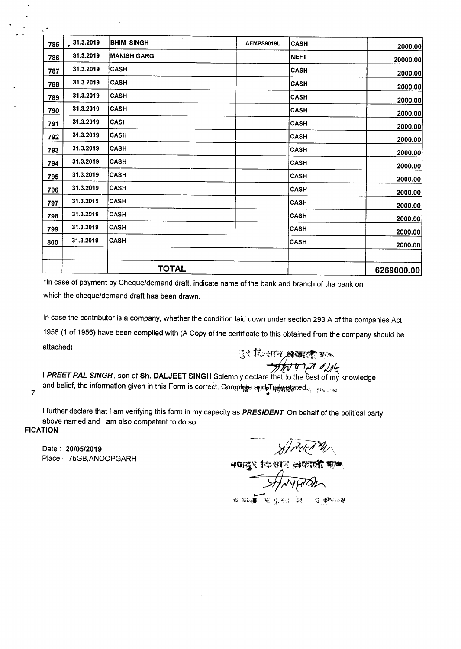| 785 | 31.3.2019 | BHIM SINGH         | AEMPS9019U | <b>CASH</b> | 2000.00    |
|-----|-----------|--------------------|------------|-------------|------------|
| 786 | 31.3.2019 | <b>MANISH GARG</b> |            | NEFT        | 20000.00   |
| 787 | 31.3.2019 | <b>CASH</b>        |            | <b>CASH</b> | 2000.00    |
| 788 | 31.3.2019 | <b>CASH</b>        |            | <b>CASH</b> | 2000.00    |
| 789 | 31.3.2019 | <b>CASH</b>        |            | <b>CASH</b> | 2000.00    |
| 790 | 31.3.2019 | <b>CASH</b>        |            | <b>CASH</b> | 2000.00    |
| 791 | 31.3.2019 | <b>CASH</b>        |            | <b>CASH</b> | 2000.00    |
| 792 | 31.3.2019 | <b>CASH</b>        |            | <b>CASH</b> | 2000.00    |
| 793 | 31.3.2019 | <b>CASH</b>        |            | <b>CASH</b> | 2000.00    |
| 794 | 31.3.2019 | <b>CASH</b>        |            | <b>CASH</b> | 2000.00    |
| 795 | 31.3.2019 | <b>CASH</b>        |            | CASH        | 2000.00    |
| 796 | 31.3.2019 | <b>CASH</b>        |            | <b>CASH</b> | 2000.00    |
| 797 | 31.3.2019 | <b>CASH</b>        |            | <b>CASH</b> | 2000.00    |
| 798 | 31.3.2019 | <b>CASH</b>        |            | <b>CASH</b> | 2000.00    |
| 799 | 31.3.2019 | <b>CASH</b>        |            | <b>CASH</b> | 2000.00    |
| 800 | 31.3.2019 | <b>CASH</b>        |            | <b>CASH</b> | 2000.00    |
|     |           |                    |            |             |            |
|     |           | <b>TOTAL</b>       |            |             | 6269000.00 |

\*In case of payment by Cheque/demand draft, indicate name of the bank and branch of tha bank on which the cheque/demand draft has been drawn.

In case the contributor is a company, whether the condition laid down under section 293 A of the companies Act, 1956 (1 of 1956) have been complied with (A Copy of the certificate to this obtained from the company should be attached)

*:;;1 fGi'if[r:~<:mt; """*

*~q1?7121~* I *PREET PAL SINGH,* son of Sh. DALJEET SINGH Solemnly declare that to the best of my knowledge and belief, the information given in this Form is correct, Complete and Tutu at the information given in this<br>7

 $\bullet$ 

I further declare that I am verifying this form in my capacity as *PRESIDENT* On behalf of the political party above named and I am also competent to do so.

## **FICATION**

Date: *20/05/2019* Place:- 75GB,ANOOPGARH

*~JA~~*

 $\,$ ধতাবুং কিন্তান: প্লাকাৰ্কে ছা

~ ,\_  $f_0$ ,  $\overline{f_0}$ ,  $f_1$ ,  $\overline{f_1}$ ,  $f_2$ ,  $\overline{f_1}$ ,  $\overline{f_2}$ ,  $\overline{f_3}$ ,  $\overline{f_4}$ ,  $\overline{f_5}$ ,  $\overline{f_6}$ ,  $\overline{f_7}$ ,  $\overline{f_8}$ ,  $\overline{f_9}$ ,  $\overline{f_9}$ ,  $\overline{f_9}$ ,  $\overline{f_9}$ ,  $\overline{f_9}$ ,  $\overline{f_9}$ ,  $\overline{f_9$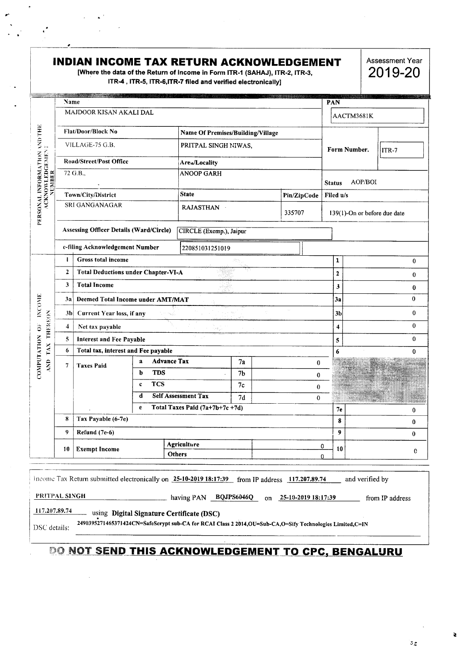## INDIAN INCOME TAX RETURN ACKNOWLEDGEMENT

[Where the data of the Return of Income in Form ITR-1 (SAHAJ), ITR-2, ITR-3, ITR-4, ITR-5, ITR-6, ITR-7 filed and verified electronically]

Assessment Year 2019-20

|                                          | Name                    |                                                |                   |                                                                                                             |                |  |             |                        | PAN                 |                              |                 |              |
|------------------------------------------|-------------------------|------------------------------------------------|-------------------|-------------------------------------------------------------------------------------------------------------|----------------|--|-------------|------------------------|---------------------|------------------------------|-----------------|--------------|
| PERSONAL INFORMATION AND THE             |                         | MAJDOOR KISAN AKALI DAL                        |                   |                                                                                                             |                |  |             |                        |                     | AACTM3681K                   |                 |              |
|                                          |                         | <b>Flat/Door/Block No</b>                      |                   | Name Of Premises/Building/Village                                                                           |                |  |             |                        |                     |                              |                 |              |
|                                          | VILLAGE-75 G.B.         |                                                |                   | PRITPAL SINGH NIWAS,                                                                                        |                |  |             |                        |                     | Form Number.                 | $ITR-7$         |              |
|                                          |                         | Road/Street/Post Office                        |                   | Area/Locality                                                                                               |                |  |             |                        |                     |                              |                 |              |
| <b>ACKNOWLEDGEMENT</b>                   |                         | 72 G.B.,                                       | <b>ANOOP GARH</b> |                                                                                                             |                |  |             | <b>Status</b>          | AOP/BOI             |                              |                 |              |
|                                          |                         | Town/City/District                             |                   | <b>State</b>                                                                                                |                |  | Pin/ZipCode |                        | Filed u/s           |                              |                 |              |
|                                          |                         | SRI GANGANAGAR                                 |                   | <b>RAJASTHAN</b>                                                                                            |                |  | 335707      |                        |                     | 139(1)-On or before due date |                 |              |
|                                          |                         | <b>Assessing Officer Details (Ward/Circle)</b> |                   | CIRCLE (Exemp.), Jaipur                                                                                     |                |  |             |                        |                     |                              |                 |              |
|                                          |                         | e-filing Acknowledgement Number                |                   | 220851031251019                                                                                             |                |  |             |                        |                     |                              |                 |              |
|                                          | $\mathbf{1}$            | <b>Gross total income</b>                      |                   |                                                                                                             |                |  |             |                        | 1                   |                              |                 | 0            |
|                                          | $\mathbf{2}$            | <b>Total Deductions under Chapter-VI-A</b>     |                   |                                                                                                             |                |  |             |                        | $\mathbf{z}$        |                              |                 | 0            |
|                                          | 3                       | <b>Total Income</b>                            |                   |                                                                                                             |                |  |             |                        | $\mathbf{3}$        |                              |                 | 0            |
|                                          | 3а                      | Deemed Total Income under AMT/MAT              |                   |                                                                                                             |                |  |             |                        | 3a                  |                              |                 | $\mathbf 0$  |
| <b>INCOME</b>                            |                         | 3b Current Year loss, if any                   |                   |                                                                                                             |                |  |             | 3 <sub>b</sub>         |                     |                              | $\bf{0}$        |              |
| <b>THEREON</b><br>$\ddot{\tilde{\circ}}$ | $\overline{\mathbf{4}}$ | Net tax payable                                |                   |                                                                                                             |                |  |             |                        | $\overline{\bf{4}}$ |                              |                 | $\mathbf{0}$ |
|                                          | 5                       | <b>Interest and Fee Payable</b>                |                   |                                                                                                             |                |  |             |                        | 5                   |                              |                 | 0            |
| COMPUTATION<br>AND TAX                   | 6                       | Total tax, interest and Fee payable            |                   |                                                                                                             |                |  |             | 6                      |                     |                              | 0               |              |
|                                          | 7                       | <b>Taxes Paid</b>                              | $\mathbf{a}$      | <b>Advance Tax</b>                                                                                          | 7a             |  |             | $\bf{0}$               |                     |                              |                 |              |
|                                          |                         |                                                | <b>TDS</b><br>b   |                                                                                                             | 7 <sub>b</sub> |  |             | $\bf{0}$               |                     |                              |                 |              |
|                                          |                         |                                                | <b>TCS</b><br>c   |                                                                                                             | 7c             |  |             | 0                      |                     |                              |                 |              |
|                                          |                         |                                                | d                 | <b>Self Assessment Tax</b>                                                                                  | 7d             |  |             | $\bf{0}$               |                     |                              |                 |              |
|                                          | 8                       | Tax Payable (6-7e)                             | e                 | Total Taxes Paid (7a+7b+7c+7d)                                                                              |                |  |             |                        | 7 <sub>e</sub>      |                              |                 | 0            |
|                                          |                         |                                                |                   |                                                                                                             |                |  |             |                        | 8                   |                              |                 | 0            |
|                                          | 9                       | Refund (7e-6)                                  |                   |                                                                                                             |                |  |             |                        | $\boldsymbol{9}$    |                              |                 | $\bf{0}$     |
|                                          | 10                      | <b>Exempt Income</b>                           |                   | Agriculture<br>Others                                                                                       |                |  |             | 0<br>0                 | 10                  |                              |                 | 0            |
|                                          |                         |                                                |                   |                                                                                                             |                |  |             |                        |                     |                              |                 |              |
|                                          |                         |                                                |                   | Income Tax Return submitted electronically on 25-10-2019 18:17:39 from IP address 117.207.89.74             |                |  |             |                        |                     | and verified by              |                 |              |
| PRITPAL SINGH                            |                         |                                                |                   | having PAN BQJPS6046Q                                                                                       |                |  |             | on 25-10-2019 18:17:39 |                     |                              | from IP address |              |
| 117.207.89.74                            |                         |                                                |                   | using Digital Signature Certificate (DSC)                                                                   |                |  |             |                        |                     |                              |                 |              |
| DSC details:                             |                         |                                                |                   | 2490395271465371424CN=SafeScrypt sub-CA for RCAI Class 2 2014, OU=Sub-CA, O=Sify Technologies Limited, C=IN |                |  |             |                        |                     |                              |                 |              |

## **DO NOT SEND THIS ACKNOWLEDGEMENT TO CPC, BENGALURU**

 $\sigma_{\rm X}$